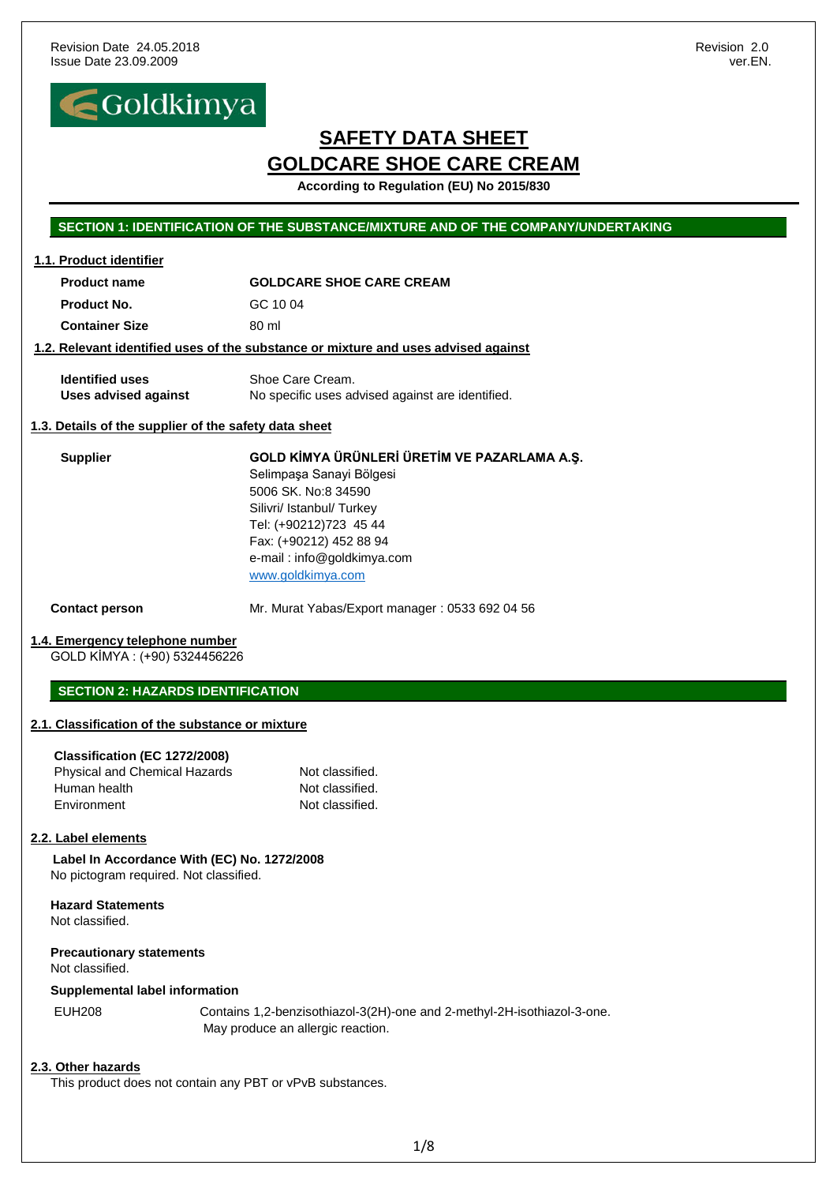**1.1. Product identifier**



# **SAFETY DATA SHEET GOLDCARE SHOE CARE CREAM**

**According to Regulation (EU) No 2015/830**

## **SECTION 1: IDENTIFICATION OF THE SUBSTANCE/MIXTURE AND OF THE COMPANY/UNDERTAKING**

| <b>Product name</b>                                                     | <b>GOLDCARE SHOE CARE CREAM</b>                                                                                                                                                                                                      |  |  |  |
|-------------------------------------------------------------------------|--------------------------------------------------------------------------------------------------------------------------------------------------------------------------------------------------------------------------------------|--|--|--|
| Product No.                                                             | GC 1004                                                                                                                                                                                                                              |  |  |  |
| <b>Container Size</b>                                                   | 80 ml                                                                                                                                                                                                                                |  |  |  |
|                                                                         | 1.2. Relevant identified uses of the substance or mixture and uses advised against                                                                                                                                                   |  |  |  |
| <b>Identified uses</b><br><b>Uses advised against</b>                   | Shoe Care Cream.<br>No specific uses advised against are identified.                                                                                                                                                                 |  |  |  |
| 1.3. Details of the supplier of the safety data sheet                   |                                                                                                                                                                                                                                      |  |  |  |
| <b>Supplier</b>                                                         | GOLD KİMYA ÜRÜNLERİ ÜRETİM VE PAZARLAMA A.Ş.<br>Selimpaşa Sanayi Bölgesi<br>5006 SK, No:8 34590<br>Silivri/ Istanbul/ Turkey<br>Tel: (+90212)723 45 44<br>Fax: (+90212) 452 88 94<br>e-mail: info@goldkimya.com<br>www.goldkimya.com |  |  |  |
| <b>Contact person</b>                                                   | Mr. Murat Yabas/Export manager: 0533 692 04 56                                                                                                                                                                                       |  |  |  |
| <u>1.4. Emergency telephone number</u><br>GOLD KİMYA : (+90) 5324456226 |                                                                                                                                                                                                                                      |  |  |  |
| <b>SECTION 2: HAZARDS IDENTIFICATION</b>                                |                                                                                                                                                                                                                                      |  |  |  |
| 2.1. Classification of the substance or mixture                         |                                                                                                                                                                                                                                      |  |  |  |

#### **Classification (EC 1272/2008)**

| <b>Physical and Chemical Hazards</b> | Not classified. |
|--------------------------------------|-----------------|
| Human health                         | Not classified. |
| Environment                          | Not classified. |

## **2.2. Label elements**

 **Label In Accordance With (EC) No. 1272/2008** No pictogram required. Not classified.

**Hazard Statements** Not classified.

**Precautionary statements** Not classified.

#### **Supplemental label information**

EUH208 Contains 1,2-benzisothiazol-3(2H)-one and 2-methyl-2H-isothiazol-3-one. May produce an allergic reaction.

## **2.3. Other hazards**

This product does not contain any PBT or vPvB substances.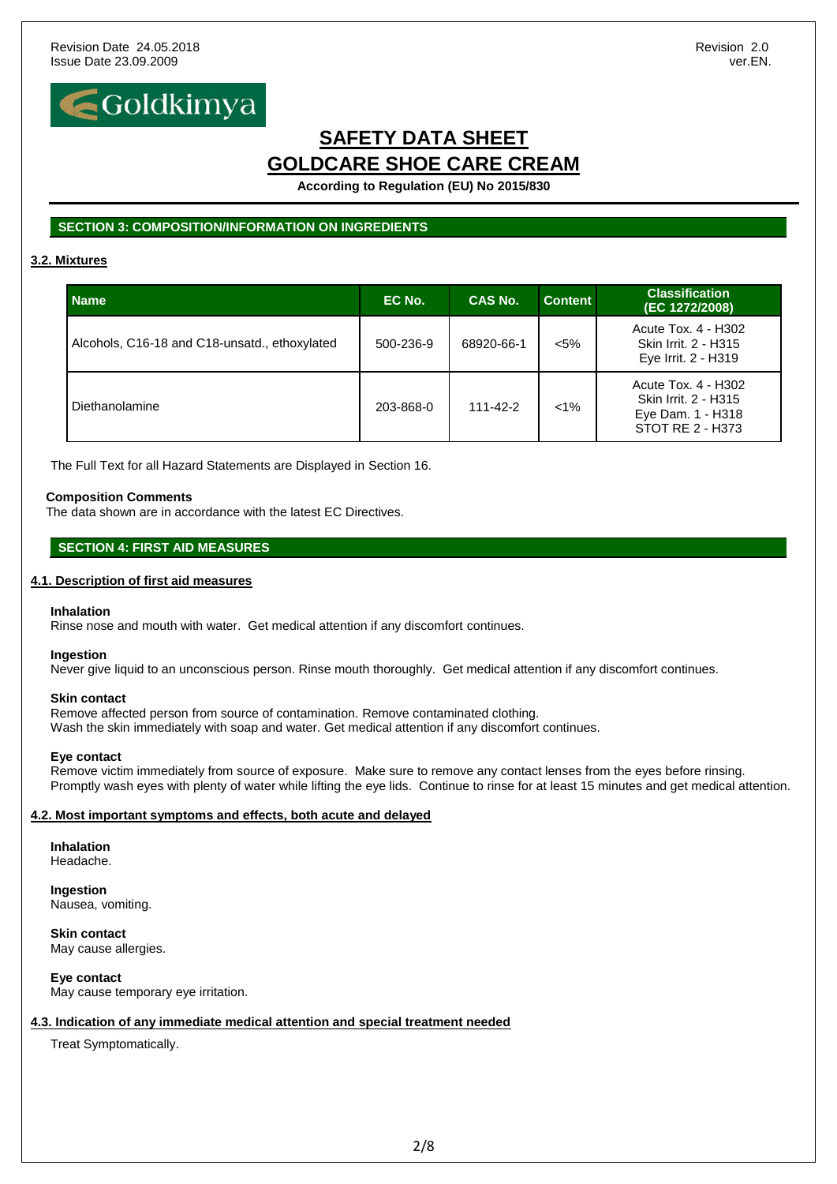

**According to Regulation (EU) No 2015/830**

## **SECTION 3: COMPOSITION/INFORMATION ON INGREDIENTS**

## **3.2. Mixtures**

| <b>Name</b>                                   | EC No.    | <b>CAS No.</b> | <b>Content</b> | <b>Classification</b><br>(EC 1272/2008)                                              |
|-----------------------------------------------|-----------|----------------|----------------|--------------------------------------------------------------------------------------|
| Alcohols, C16-18 and C18-unsatd., ethoxylated | 500-236-9 | 68920-66-1     | $< 5\%$        | Acute Tox. 4 - H302<br>Skin Irrit. 2 - H315<br>Eye Irrit. 2 - H319                   |
| Diethanolamine                                | 203-868-0 | $111 - 42 - 2$ | $< 1\%$        | Acute Tox. 4 - H302<br>Skin Irrit. 2 - H315<br>Eye Dam. 1 - H318<br>STOT RE 2 - H373 |

The Full Text for all Hazard Statements are Displayed in Section 16.

#### **Composition Comments**

The data shown are in accordance with the latest EC Directives.

## **SECTION 4: FIRST AID MEASURES**

### **4.1. Description of first aid measures**

#### **Inhalation**

Rinse nose and mouth with water. Get medical attention if any discomfort continues.

#### **Ingestion**

Never give liquid to an unconscious person. Rinse mouth thoroughly. Get medical attention if any discomfort continues.

#### **Skin contact**

Remove affected person from source of contamination. Remove contaminated clothing. Wash the skin immediately with soap and water. Get medical attention if any discomfort continues.

#### **Eye contact**

Remove victim immediately from source of exposure. Make sure to remove any contact lenses from the eyes before rinsing. Promptly wash eyes with plenty of water while lifting the eye lids. Continue to rinse for at least 15 minutes and get medical attention.

## **4.2. Most important symptoms and effects, both acute and delayed**

## **Inhalation**

Headache.

**Ingestion** Nausea, vomiting.

**Skin contact** May cause allergies.

**Eye contact** May cause temporary eye irritation.

## **4.3. Indication of any immediate medical attention and special treatment needed**

Treat Symptomatically.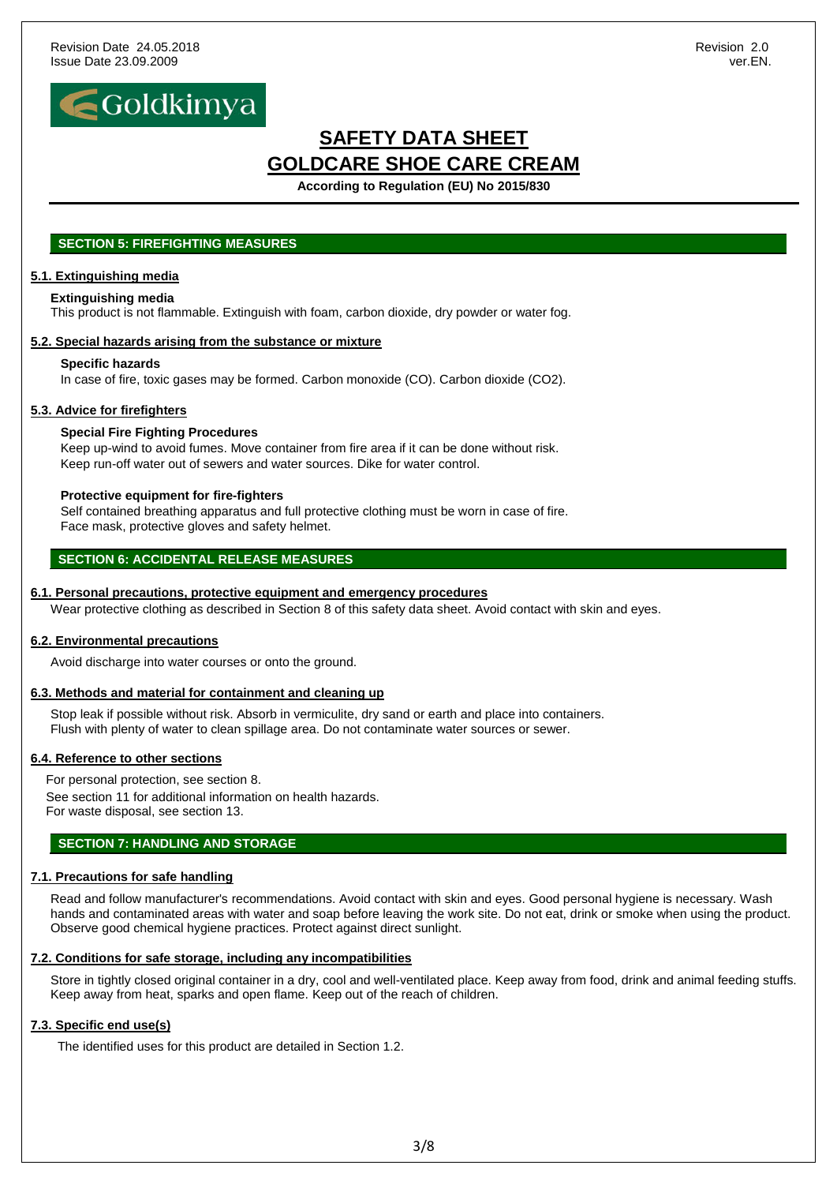

**According to Regulation (EU) No 2015/830**

## **SECTION 5: FIREFIGHTING MEASURES**

### **5.1. Extinguishing media**

#### **Extinguishing media**

This product is not flammable. Extinguish with foam, carbon dioxide, dry powder or water fog.

### **5.2. Special hazards arising from the substance or mixture**

#### **Specific hazards**

In case of fire, toxic gases may be formed. Carbon monoxide (CO). Carbon dioxide (CO2).

### **5.3. Advice for firefighters**

### **Special Fire Fighting Procedures**

Keep up-wind to avoid fumes. Move container from fire area if it can be done without risk. Keep run-off water out of sewers and water sources. Dike for water control.

#### **Protective equipment for fire-fighters**

Self contained breathing apparatus and full protective clothing must be worn in case of fire. Face mask, protective gloves and safety helmet.

## **SECTION 6: ACCIDENTAL RELEASE MEASURES**

#### **6.1. Personal precautions, protective equipment and emergency procedures**

Wear protective clothing as described in Section 8 of this safety data sheet. Avoid contact with skin and eyes.

#### **6.2. Environmental precautions**

Avoid discharge into water courses or onto the ground.

#### **6.3. Methods and material for containment and cleaning up**

Stop leak if possible without risk. Absorb in vermiculite, dry sand or earth and place into containers. Flush with plenty of water to clean spillage area. Do not contaminate water sources or sewer.

#### **6.4. Reference to other sections**

For personal protection, see section 8. See section 11 for additional information on health hazards. For waste disposal, see section 13.

## **SECTION 7: HANDLING AND STORAGE**

## **7.1. Precautions for safe handling**

Read and follow manufacturer's recommendations. Avoid contact with skin and eyes. Good personal hygiene is necessary. Wash hands and contaminated areas with water and soap before leaving the work site. Do not eat, drink or smoke when using the product. Observe good chemical hygiene practices. Protect against direct sunlight.

#### **7.2. Conditions for safe storage, including any incompatibilities**

Store in tightly closed original container in a dry, cool and well-ventilated place. Keep away from food, drink and animal feeding stuffs. Keep away from heat, sparks and open flame. Keep out of the reach of children.

## **7.3. Specific end use(s)**

The identified uses for this product are detailed in Section 1.2.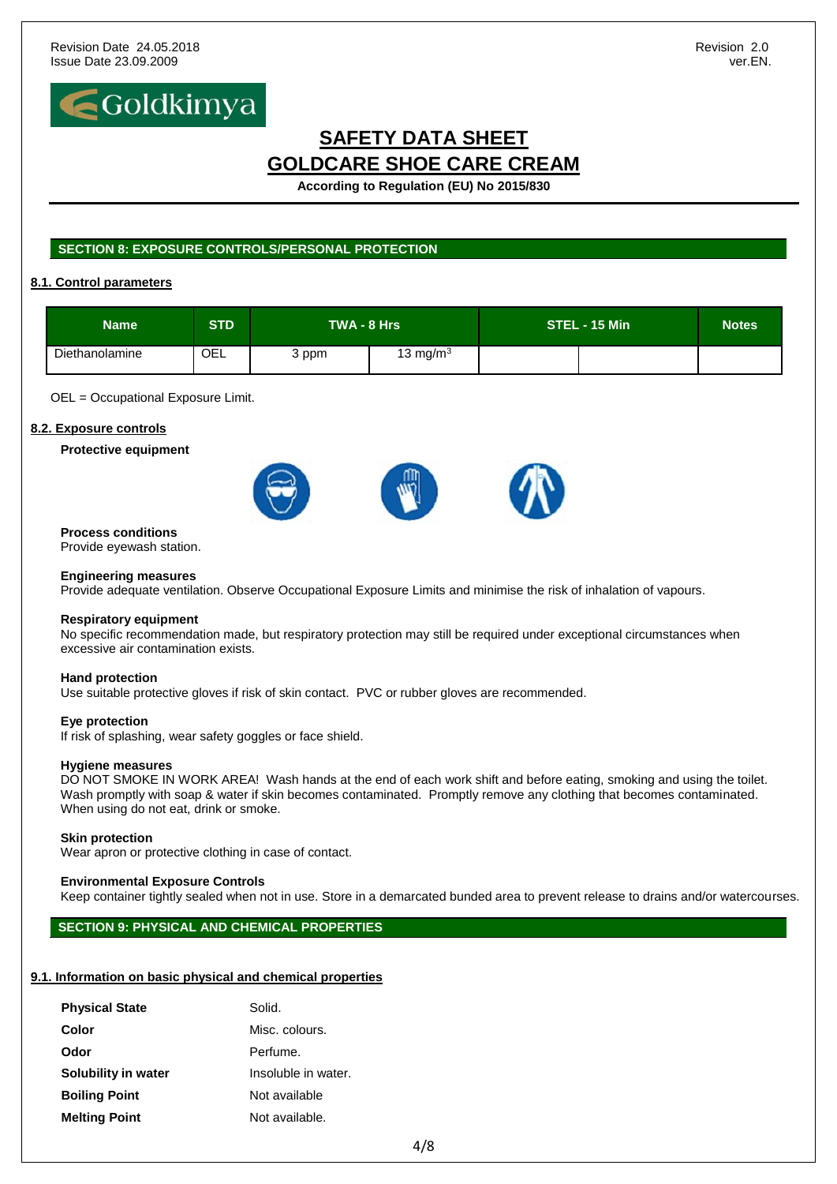

**According to Regulation (EU) No 2015/830**

## **SECTION 8: EXPOSURE CONTROLS/PERSONAL PROTECTION**

## **8.1. Control parameters**

| <b>Name</b>    | <b>STD</b> | TWA - 8 Hrs |              | STEL - 15 Min | <b>Notes</b> |  |
|----------------|------------|-------------|--------------|---------------|--------------|--|
| Diethanolamine | OEL        | 3 ppm       | 13 mg/m $^3$ |               |              |  |

OEL = Occupational Exposure Limit.

## **8.2. Exposure controls**

**Protective equipment**



## **Process conditions**

Provide eyewash station.

#### **Engineering measures**

Provide adequate ventilation. Observe Occupational Exposure Limits and minimise the risk of inhalation of vapours.

#### **Respiratory equipment**

No specific recommendation made, but respiratory protection may still be required under exceptional circumstances when excessive air contamination exists.

#### **Hand protection**

Use suitable protective gloves if risk of skin contact. PVC or rubber gloves are recommended.

#### **Eye protection**

If risk of splashing, wear safety goggles or face shield.

#### **Hygiene measures**

DO NOT SMOKE IN WORK AREA! Wash hands at the end of each work shift and before eating, smoking and using the toilet. Wash promptly with soap & water if skin becomes contaminated. Promptly remove any clothing that becomes contaminated. When using do not eat, drink or smoke.

#### **Skin protection**

Wear apron or protective clothing in case of contact.

#### **Environmental Exposure Controls**

Keep container tightly sealed when not in use. Store in a demarcated bunded area to prevent release to drains and/or watercourses.

## **SECTION 9: PHYSICAL AND CHEMICAL PROPERTIES**

## **9.1. Information on basic physical and chemical properties**

| <b>Physical State</b> | Solid.              |
|-----------------------|---------------------|
| Color                 | Misc. colours.      |
| Odor                  | Perfume.            |
| Solubility in water   | Insoluble in water. |
| <b>Boiling Point</b>  | Not available       |
| <b>Melting Point</b>  | Not available.      |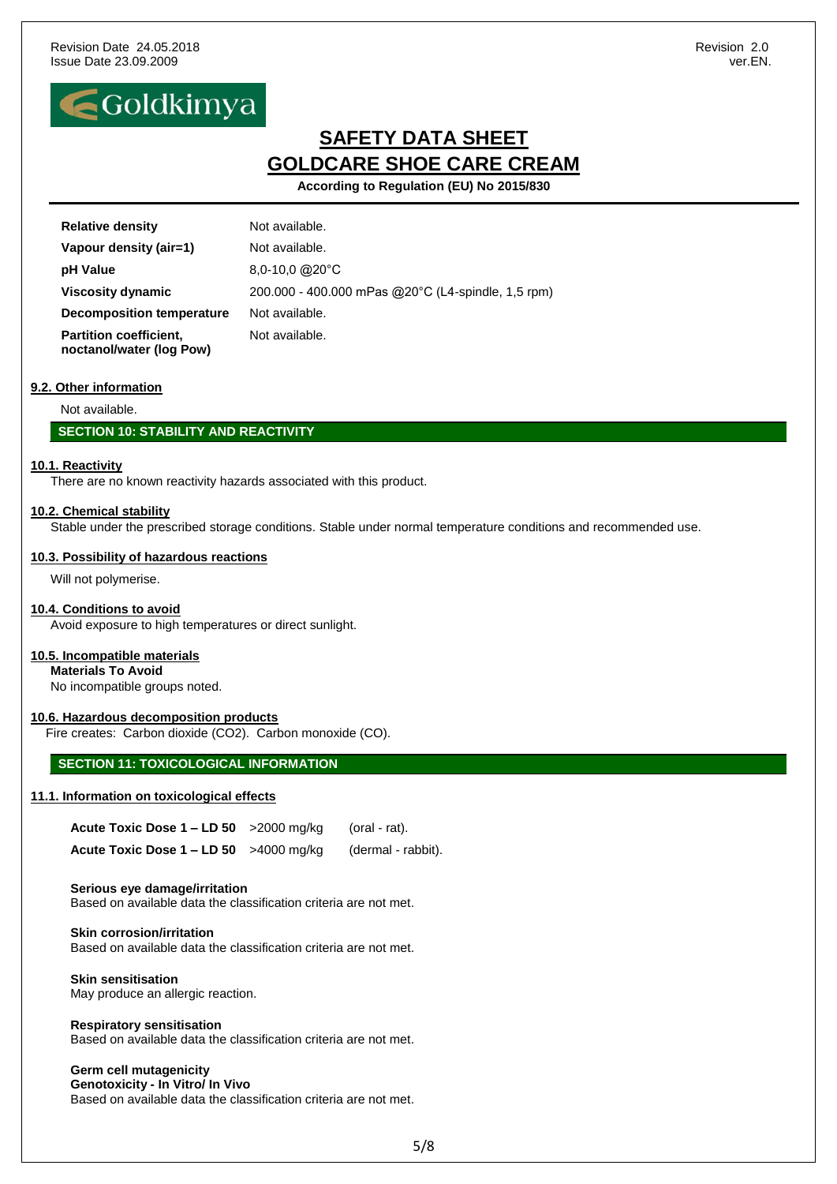

**According to Regulation (EU) No 2015/830**

| <b>Relative density</b>                                   | Not available.                                     |
|-----------------------------------------------------------|----------------------------------------------------|
| Vapour density (air=1)                                    | Not available.                                     |
| pH Value                                                  | $8,0-10,0$ @ $20^{\circ}$ C                        |
| <b>Viscosity dynamic</b>                                  | 200.000 - 400.000 mPas @20°C (L4-spindle, 1,5 rpm) |
| <b>Decomposition temperature</b>                          | Not available.                                     |
| <b>Partition coefficient,</b><br>noctanol/water (log Pow) | Not available.                                     |

## **9.2. Other information**

Not available.

## **SECTION 10: STABILITY AND REACTIVITY**

#### **10.1. Reactivity**

There are no known reactivity hazards associated with this product.

#### **10.2. Chemical stability**

Stable under the prescribed storage conditions. Stable under normal temperature conditions and recommended use.

#### **10.3. Possibility of hazardous reactions**

Will not polymerise.

#### **10.4. Conditions to avoid**

Avoid exposure to high temperatures or direct sunlight.

#### **10.5. Incompatible materials**

**Materials To Avoid**

No incompatible groups noted.

### **10.6. Hazardous decomposition products**

Fire creates: Carbon dioxide (CO2). Carbon monoxide (CO).

## **SECTION 11: TOXICOLOGICAL INFORMATION**

#### **11.1. Information on toxicological effects**

| Acute Toxic Dose $1 - LD 50$ > 2000 mg/kg | (oral - rat).      |
|-------------------------------------------|--------------------|
| Acute Toxic Dose $1 - LD 50$ >4000 mg/kg  | (dermal - rabbit). |

#### **Serious eye damage/irritation**

Based on available data the classification criteria are not met.

**Skin corrosion/irritation** Based on available data the classification criteria are not met.

#### **Skin sensitisation** May produce an allergic reaction.

**Respiratory sensitisation** Based on available data the classification criteria are not met.

## **Germ cell mutagenicity**

**Genotoxicity - In Vitro/ In Vivo** Based on available data the classification criteria are not met.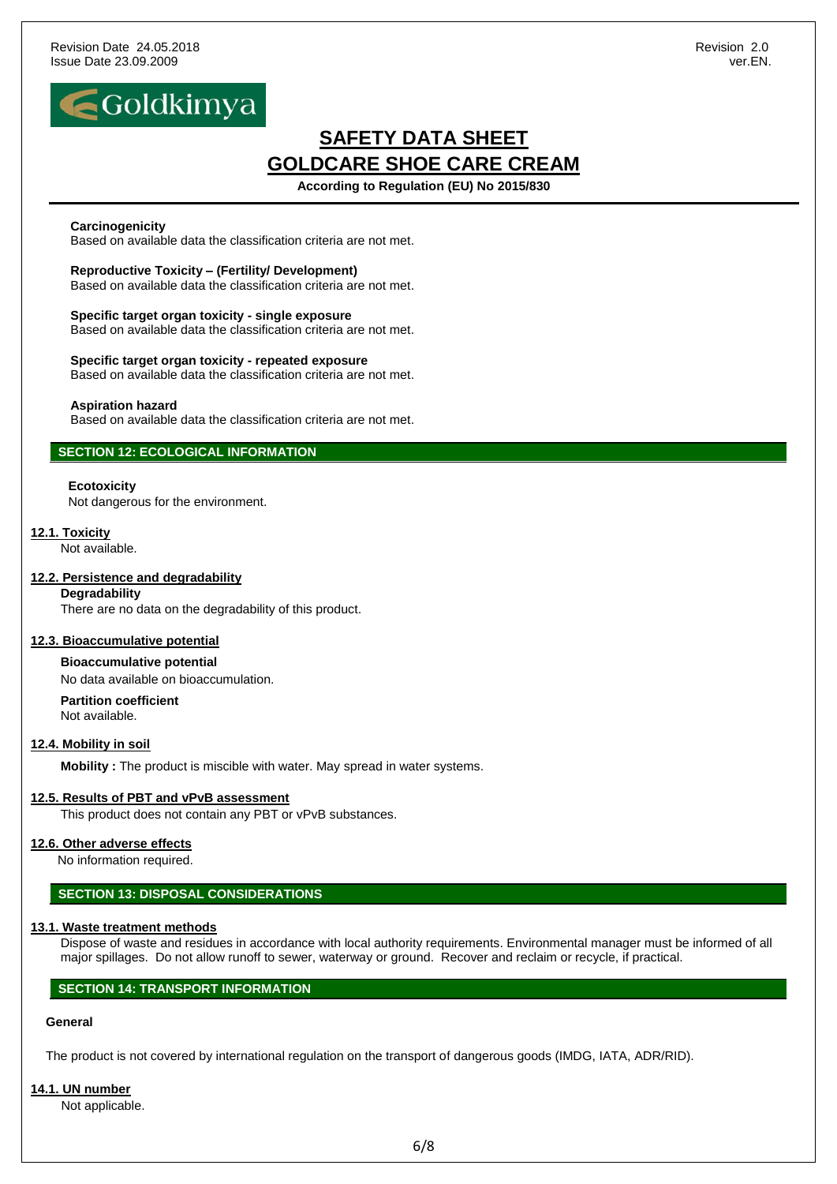

**According to Regulation (EU) No 2015/830**

#### **Carcinogenicity**

Based on available data the classification criteria are not met.

**Reproductive Toxicity – (Fertility/ Development)** Based on available data the classification criteria are not met.

**Specific target organ toxicity - single exposure** Based on available data the classification criteria are not met.

**Specific target organ toxicity - repeated exposure** Based on available data the classification criteria are not met.

#### **Aspiration hazard**

Based on available data the classification criteria are not met.

### **SECTION 12: ECOLOGICAL INFORMATION**

#### **Ecotoxicity**

Not dangerous for the environment.

#### **12.1. Toxicity**

Not available.

#### **12.2. Persistence and degradability**

### **Degradability**

There are no data on the degradability of this product.

#### **12.3. Bioaccumulative potential**

**Bioaccumulative potential** No data available on bioaccumulation.

**Partition coefficient** Not available.

#### **12.4. Mobility in soil**

**Mobility :** The product is miscible with water. May spread in water systems.

#### **12.5. Results of PBT and vPvB assessment**

This product does not contain any PBT or vPvB substances.

#### **12.6. Other adverse effects**

No information required.

#### **SECTION 13: DISPOSAL CONSIDERATIONS**

#### **13.1. Waste treatment methods**

Dispose of waste and residues in accordance with local authority requirements. Environmental manager must be informed of all major spillages. Do not allow runoff to sewer, waterway or ground. Recover and reclaim or recycle, if practical.

### **SECTION 14: TRANSPORT INFORMATION**

## **General**

The product is not covered by international regulation on the transport of dangerous goods (IMDG, IATA, ADR/RID).

#### **14.1. UN number**

Not applicable.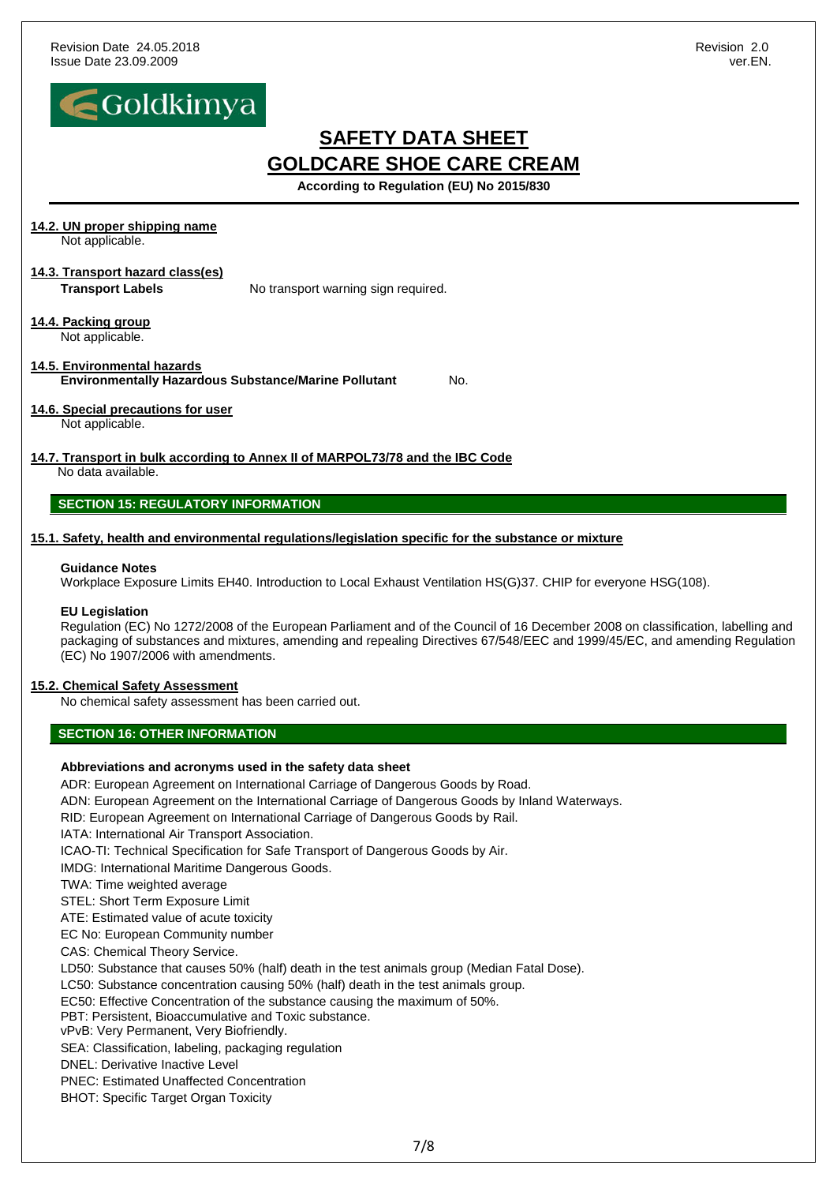

**According to Regulation (EU) No 2015/830**

## **14.2. UN proper shipping name**

Not applicable.

# **14.3. Transport hazard class(es)**

**Transport Labels** No transport warning sign required.

#### **14.4. Packing group** Not applicable.

**14.5. Environmental hazards Environmentally Hazardous Substance/Marine Pollutant** No.

## **14.6. Special precautions for user**

Not applicable.

#### **14.7. Transport in bulk according to Annex II of MARPOL73/78 and the IBC Code** No data available.

## **SECTION 15: REGULATORY INFORMATION**

## **15.1. Safety, health and environmental regulations/legislation specific for the substance or mixture**

### **Guidance Notes**

Workplace Exposure Limits EH40. Introduction to Local Exhaust Ventilation HS(G)37. CHIP for everyone HSG(108).

## **EU Legislation**

Regulation (EC) No 1272/2008 of the European Parliament and of the Council of 16 December 2008 on classification, labelling and packaging of substances and mixtures, amending and repealing Directives 67/548/EEC and 1999/45/EC, and amending Regulation (EC) No 1907/2006 with amendments.

## **15.2. Chemical Safety Assessment**

No chemical safety assessment has been carried out.

## **SECTION 16: OTHER INFORMATION**

## **Abbreviations and acronyms used in the safety data sheet**

ADR: European Agreement on International Carriage of Dangerous Goods by Road. ADN: European Agreement on the International Carriage of Dangerous Goods by Inland Waterways. RID: European Agreement on International Carriage of Dangerous Goods by Rail. IATA: International Air Transport Association. ICAO-TI: Technical Specification for Safe Transport of Dangerous Goods by Air. IMDG: International Maritime Dangerous Goods. TWA: Time weighted average STEL: Short Term Exposure Limit ATE: Estimated value of acute toxicity EC No: European Community number CAS: Chemical Theory Service. LD50: Substance that causes 50% (half) death in the test animals group (Median Fatal Dose). LC50: Substance concentration causing 50% (half) death in the test animals group. EC50: Effective Concentration of the substance causing the maximum of 50%. PBT: Persistent, Bioaccumulative and Toxic substance. vPvB: Very Permanent, Very Biofriendly. SEA: Classification, labeling, packaging regulation DNEL: Derivative Inactive Level PNEC: Estimated Unaffected Concentration BHOT: Specific Target Organ Toxicity